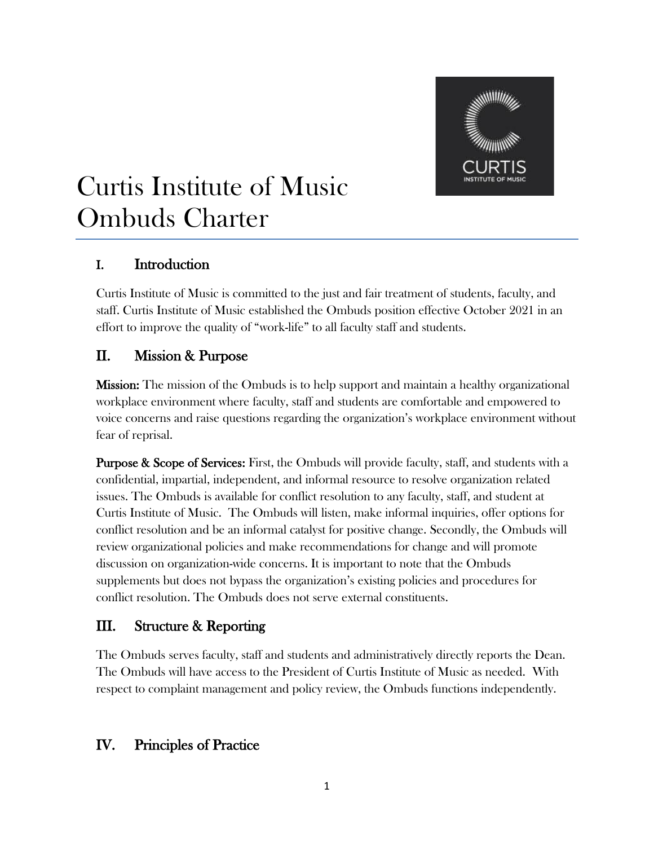

# Curtis Institute of Music Ombuds Charter

# I. Introduction

Curtis Institute of Music is committed to the just and fair treatment of students, faculty, and staff. Curtis Institute of Music established the Ombuds position effective October 2021 in an effort to improve the quality of "work-life" to all faculty staff and students.

# II. Mission & Purpose

Mission: The mission of the Ombuds is to help support and maintain a healthy organizational workplace environment where faculty, staff and students are comfortable and empowered to voice concerns and raise questions regarding the organization's workplace environment without fear of reprisal.

**Purpose & Scope of Services:** First, the Ombuds will provide faculty, staff, and students with a confidential, impartial, independent, and informal resource to resolve organization related issues. The Ombuds is available for conflict resolution to any faculty, staff, and student at Curtis Institute of Music. The Ombuds will listen, make informal inquiries, offer options for conflict resolution and be an informal catalyst for positive change. Secondly, the Ombuds will review organizational policies and make recommendations for change and will promote discussion on organization-wide concerns. It is important to note that the Ombuds supplements but does not bypass the organization's existing policies and procedures for conflict resolution. The Ombuds does not serve external constituents.

# III. Structure & Reporting

The Ombuds serves faculty, staff and students and administratively directly reports the Dean. The Ombuds will have access to the President of Curtis Institute of Music as needed. With respect to complaint management and policy review, the Ombuds functions independently.

# IV. Principles of Practice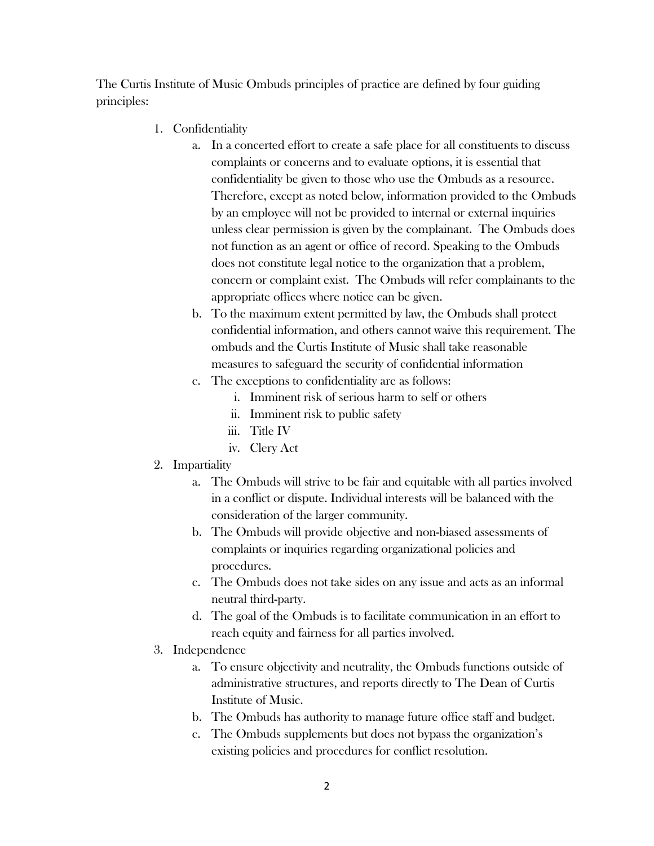The Curtis Institute of Music Ombuds principles of practice are defined by four guiding principles:

- 1. Confidentiality
	- a. In a concerted effort to create a safe place for all constituents to discuss complaints or concerns and to evaluate options, it is essential that confidentiality be given to those who use the Ombuds as a resource. Therefore, except as noted below, information provided to the Ombuds by an employee will not be provided to internal or external inquiries unless clear permission is given by the complainant. The Ombuds does not function as an agent or office of record. Speaking to the Ombuds does not constitute legal notice to the organization that a problem, concern or complaint exist. The Ombuds will refer complainants to the appropriate offices where notice can be given.
	- b. To the maximum extent permitted by law, the Ombuds shall protect confidential information, and others cannot waive this requirement. The ombuds and the Curtis Institute of Music shall take reasonable measures to safeguard the security of confidential information
	- c. The exceptions to confidentiality are as follows:
		- i. Imminent risk of serious harm to self or others
		- ii. Imminent risk to public safety
		- iii. Title IV
		- iv. Clery Act

#### 2. Impartiality

- a. The Ombuds will strive to be fair and equitable with all parties involved in a conflict or dispute. Individual interests will be balanced with the consideration of the larger community.
- b. The Ombuds will provide objective and non-biased assessments of complaints or inquiries regarding organizational policies and procedures.
- c. The Ombuds does not take sides on any issue and acts as an informal neutral third-party.
- d. The goal of the Ombuds is to facilitate communication in an effort to reach equity and fairness for all parties involved.
- 3. Independence
	- a. To ensure objectivity and neutrality, the Ombuds functions outside of administrative structures, and reports directly to The Dean of Curtis Institute of Music.
	- b. The Ombuds has authority to manage future office staff and budget.
	- c. The Ombuds supplements but does not bypass the organization's existing policies and procedures for conflict resolution.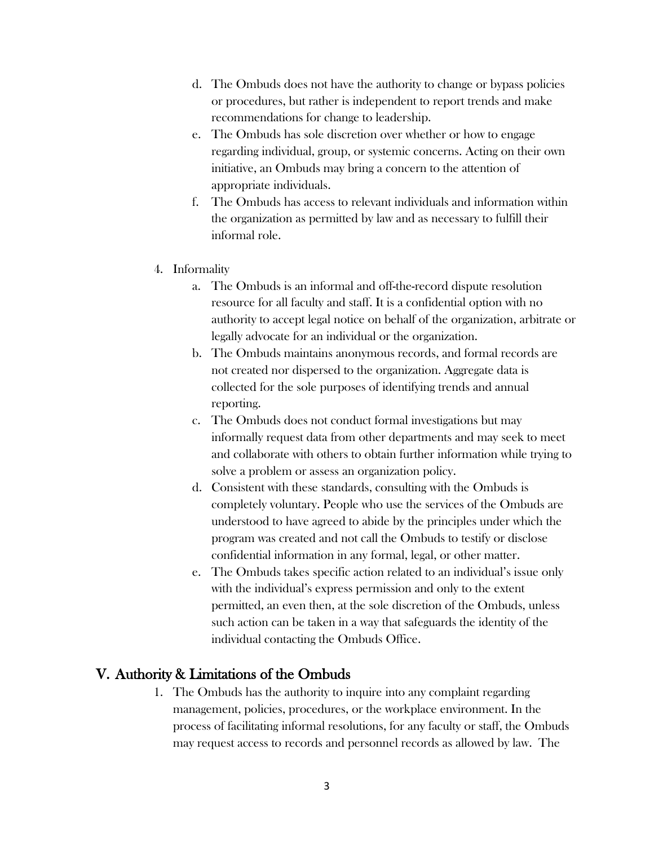- d. The Ombuds does not have the authority to change or bypass policies or procedures, but rather is independent to report trends and make recommendations for change to leadership.
- e. The Ombuds has sole discretion over whether or how to engage regarding individual, group, or systemic concerns. Acting on their own initiative, an Ombuds may bring a concern to the attention of appropriate individuals.
- f. The Ombuds has access to relevant individuals and information within the organization as permitted by law and as necessary to fulfill their informal role.
- 4. Informality
	- a. The Ombuds is an informal and off-the-record dispute resolution resource for all faculty and staff. It is a confidential option with no authority to accept legal notice on behalf of the organization, arbitrate or legally advocate for an individual or the organization.
	- b. The Ombuds maintains anonymous records, and formal records are not created nor dispersed to the organization. Aggregate data is collected for the sole purposes of identifying trends and annual reporting.
	- c. The Ombuds does not conduct formal investigations but may informally request data from other departments and may seek to meet and collaborate with others to obtain further information while trying to solve a problem or assess an organization policy.
	- d. Consistent with these standards, consulting with the Ombuds is completely voluntary. People who use the services of the Ombuds are understood to have agreed to abide by the principles under which the program was created and not call the Ombuds to testify or disclose confidential information in any formal, legal, or other matter.
	- e. The Ombuds takes specific action related to an individual's issue only with the individual's express permission and only to the extent permitted, an even then, at the sole discretion of the Ombuds, unless such action can be taken in a way that safeguards the identity of the individual contacting the Ombuds Office.

### V. Authority & Limitations of the Ombuds

1. The Ombuds has the authority to inquire into any complaint regarding management, policies, procedures, or the workplace environment. In the process of facilitating informal resolutions, for any faculty or staff, the Ombuds may request access to records and personnel records as allowed by law. The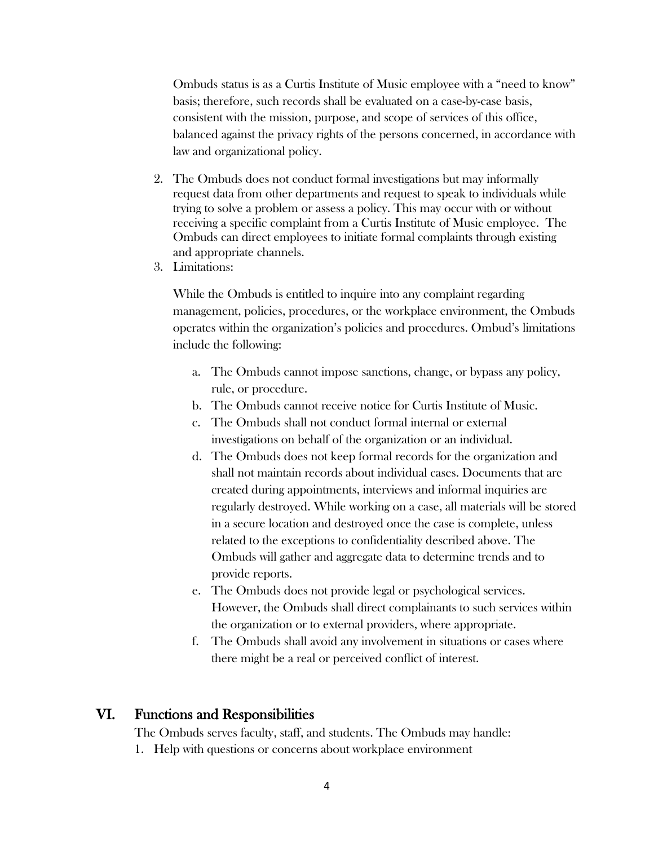Ombuds status is as a Curtis Institute of Music employee with a "need to know" basis; therefore, such records shall be evaluated on a case-by-case basis, consistent with the mission, purpose, and scope of services of this office, balanced against the privacy rights of the persons concerned, in accordance with law and organizational policy.

- 2. The Ombuds does not conduct formal investigations but may informally request data from other departments and request to speak to individuals while trying to solve a problem or assess a policy. This may occur with or without receiving a specific complaint from a Curtis Institute of Music employee. The Ombuds can direct employees to initiate formal complaints through existing and appropriate channels.
- 3. Limitations:

While the Ombuds is entitled to inquire into any complaint regarding management, policies, procedures, or the workplace environment, the Ombuds operates within the organization's policies and procedures. Ombud's limitations include the following:

- a. The Ombuds cannot impose sanctions, change, or bypass any policy, rule, or procedure.
- b. The Ombuds cannot receive notice for Curtis Institute of Music.
- c. The Ombuds shall not conduct formal internal or external investigations on behalf of the organization or an individual.
- d. The Ombuds does not keep formal records for the organization and shall not maintain records about individual cases. Documents that are created during appointments, interviews and informal inquiries are regularly destroyed. While working on a case, all materials will be stored in a secure location and destroyed once the case is complete, unless related to the exceptions to confidentiality described above. The Ombuds will gather and aggregate data to determine trends and to provide reports.
- e. The Ombuds does not provide legal or psychological services. However, the Ombuds shall direct complainants to such services within the organization or to external providers, where appropriate.
- f. The Ombuds shall avoid any involvement in situations or cases where there might be a real or perceived conflict of interest.

## VI. Functions and Responsibilities

The Ombuds serves faculty, staff, and students. The Ombuds may handle:

1. Help with questions or concerns about workplace environment